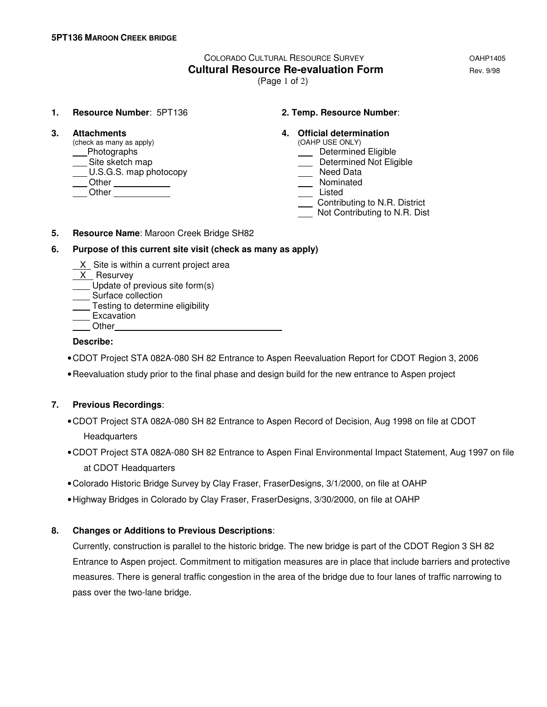# COLORADO CULTURAL RESOURCE SURVEY **COLORADO COLORADO Cultural Resource Re-evaluation Form Example 2018** Rev. 9/98

(Page 1 of 2)

**1. Resource Number**: 5PT136 **2. Temp. Resource Number**:

 $(check as many as apply)$ Lettermined Eligible and Theorem and Theorem and Theorem and Determined Eligible \_Site sketch map determined Not Eligible by Contact Contact Contact Contact Determined Not Eligible by Determined Not Eligible U.S.G.S. map photocopy Other Nominated Other Listed

# **3. Attachments 4. Official determination 4. Constantion 4. 4. Official determination**

- -
	-
	-
- 
- Contributing to N.R. District
- Not Contributing to N.R. Dist
- **5. Resource Name**: Maroon Creek Bridge SH82

# **6. Purpose of this current site visit (check as many as apply)**

- X Site is within a current project area
- X Resurvey
- Update of previous site form(s)
- Surface collection
- Testing to determine eligibility
- ⊥<del>com s</del><br>Excavation
- **Other**

### **Describe:**

- CDOT Project STA 082A-080 SH 82 Entrance to Aspen Reevaluation Report for CDOT Region 3, 2006
- Reevaluation study prior to the final phase and design build for the new entrance to Aspen project

# **7. Previous Recordings**:

- CDOT Project STA 082A-080 SH 82 Entrance to Aspen Record of Decision, Aug 1998 on file at CDOT Headquarters
- CDOT Project STA 082A-080 SH 82 Entrance to Aspen Final Environmental Impact Statement, Aug 1997 on file at CDOT Headquarters
- Colorado Historic Bridge Survey by Clay Fraser, FraserDesigns, 3/1/2000, on file at OAHP
- Highway Bridges in Colorado by Clay Fraser, FraserDesigns, 3/30/2000, on file at OAHP

# **8. Changes or Additions to Previous Descriptions**:

 Currently, construction is parallel to the historic bridge. The new bridge is part of the CDOT Region 3 SH 82 Entrance to Aspen project. Commitment to mitigation measures are in place that include barriers and protective measures. There is general traffic congestion in the area of the bridge due to four lanes of traffic narrowing to pass over the two-lane bridge.